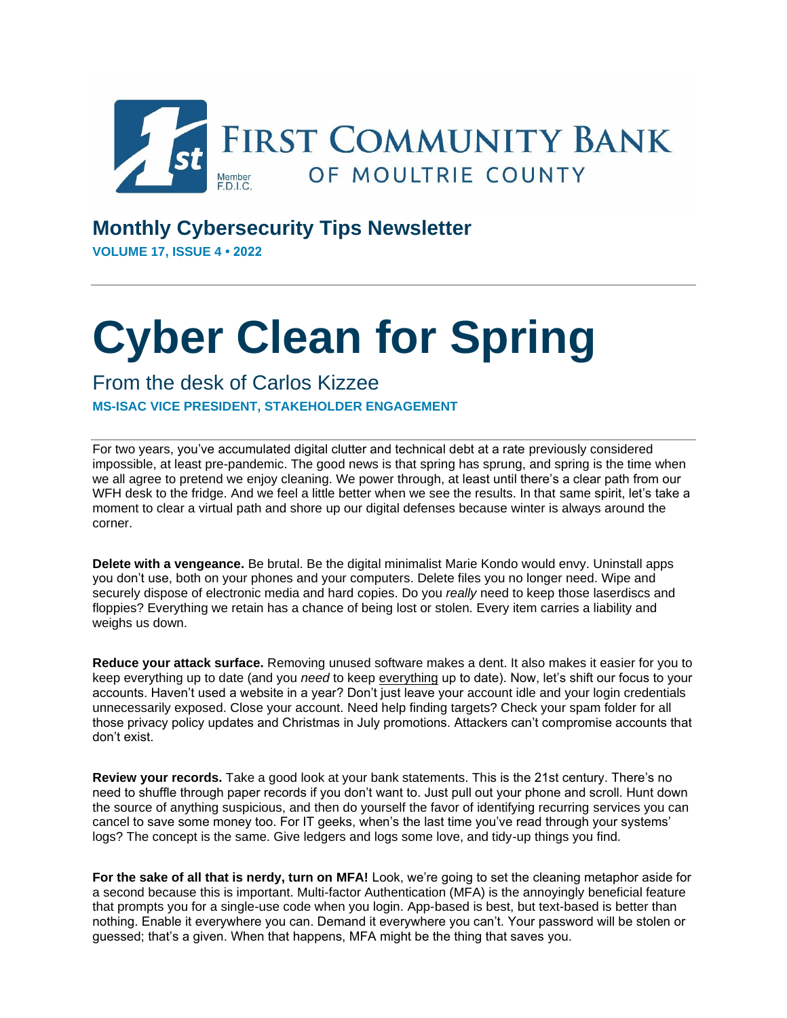

## **Monthly Cybersecurity Tips Newsletter**

**VOLUME 17, ISSUE 4 • 2022**

## **Cyber Clean for Spring**

## From the desk of Carlos Kizzee **MS-ISAC VICE PRESIDENT, STAKEHOLDER ENGAGEMENT**

For two years, you've accumulated digital clutter and technical debt at a rate previously considered impossible, at least pre-pandemic. The good news is that spring has sprung, and spring is the time when we all agree to pretend we enjoy cleaning. We power through, at least until there's a clear path from our WFH desk to the fridge. And we feel a little better when we see the results. In that same spirit, let's take a moment to clear a virtual path and shore up our digital defenses because winter is always around the corner.

**Delete with a vengeance.** Be brutal. Be the digital minimalist Marie Kondo would envy. Uninstall apps you don't use, both on your phones and your computers. Delete files you no longer need. Wipe and securely dispose of electronic media and hard copies. Do you *really* need to keep those laserdiscs and floppies? Everything we retain has a chance of being lost or stolen. Every item carries a liability and weighs us down.

**Reduce your attack surface.** Removing unused software makes a dent. It also makes it easier for you to keep everything up to date (and you *need* to keep everything up to date). Now, let's shift our focus to your accounts. Haven't used a website in a year? Don't just leave your account idle and your login credentials unnecessarily exposed. Close your account. Need help finding targets? Check your spam folder for all those privacy policy updates and Christmas in July promotions. Attackers can't compromise accounts that don't exist.

**Review your records.** Take a good look at your bank statements. This is the 21st century. There's no need to shuffle through paper records if you don't want to. Just pull out your phone and scroll. Hunt down the source of anything suspicious, and then do yourself the favor of identifying recurring services you can cancel to save some money too. For IT geeks, when's the last time you've read through your systems' logs? The concept is the same. Give ledgers and logs some love, and tidy-up things you find.

**For the sake of all that is nerdy, turn on MFA!** Look, we're going to set the cleaning metaphor aside for a second because this is important. Multi-factor Authentication (MFA) is the annoyingly beneficial feature that prompts you for a single-use code when you login. App-based is best, but text-based is better than nothing. Enable it everywhere you can. Demand it everywhere you can't. Your password will be stolen or guessed; that's a given. When that happens, MFA might be the thing that saves you.